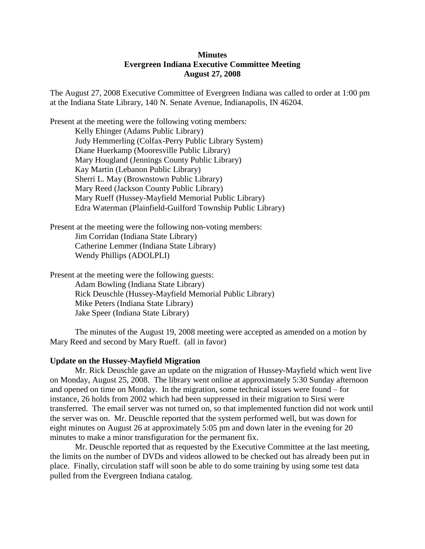# **Minutes Evergreen Indiana Executive Committee Meeting August 27, 2008**

The August 27, 2008 Executive Committee of Evergreen Indiana was called to order at 1:00 pm at the Indiana State Library, 140 N. Senate Avenue, Indianapolis, IN 46204.

Present at the meeting were the following voting members: Kelly Ehinger (Adams Public Library) Judy Hemmerling (Colfax-Perry Public Library System) Diane Huerkamp (Mooresville Public Library) Mary Hougland (Jennings County Public Library) Kay Martin (Lebanon Public Library) Sherri L. May (Brownstown Public Library) Mary Reed (Jackson County Public Library) Mary Rueff (Hussey-Mayfield Memorial Public Library) Edra Waterman (Plainfield-Guilford Township Public Library)

Present at the meeting were the following non-voting members: Jim Corridan (Indiana State Library) Catherine Lemmer (Indiana State Library) Wendy Phillips (ADOLPLI)

Present at the meeting were the following guests: Adam Bowling (Indiana State Library) Rick Deuschle (Hussey-Mayfield Memorial Public Library) Mike Peters (Indiana State Library) Jake Speer (Indiana State Library)

The minutes of the August 19, 2008 meeting were accepted as amended on a motion by Mary Reed and second by Mary Rueff. (all in favor)

#### **Update on the Hussey-Mayfield Migration**

Mr. Rick Deuschle gave an update on the migration of Hussey-Mayfield which went live on Monday, August 25, 2008. The library went online at approximately 5:30 Sunday afternoon and opened on time on Monday. In the migration, some technical issues were found – for instance, 26 holds from 2002 which had been suppressed in their migration to Sirsi were transferred. The email server was not turned on, so that implemented function did not work until the server was on. Mr. Deuschle reported that the system performed well, but was down for eight minutes on August 26 at approximately 5:05 pm and down later in the evening for 20 minutes to make a minor transfiguration for the permanent fix.

Mr. Deuschle reported that as requested by the Executive Committee at the last meeting, the limits on the number of DVDs and videos allowed to be checked out has already been put in place. Finally, circulation staff will soon be able to do some training by using some test data pulled from the Evergreen Indiana catalog.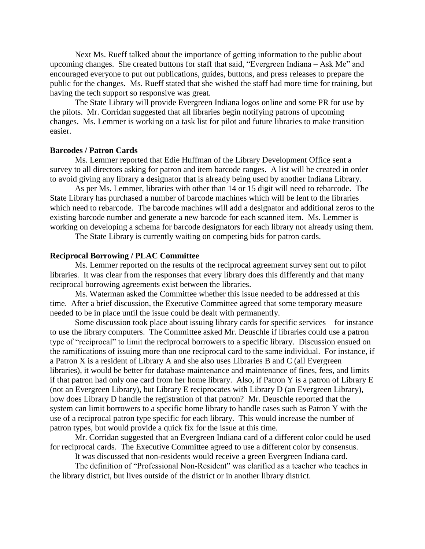Next Ms. Rueff talked about the importance of getting information to the public about upcoming changes. She created buttons for staff that said, "Evergreen Indiana – Ask Me" and encouraged everyone to put out publications, guides, buttons, and press releases to prepare the public for the changes. Ms. Rueff stated that she wished the staff had more time for training, but having the tech support so responsive was great.

The State Library will provide Evergreen Indiana logos online and some PR for use by the pilots. Mr. Corridan suggested that all libraries begin notifying patrons of upcoming changes. Ms. Lemmer is working on a task list for pilot and future libraries to make transition easier.

#### **Barcodes / Patron Cards**

Ms. Lemmer reported that Edie Huffman of the Library Development Office sent a survey to all directors asking for patron and item barcode ranges. A list will be created in order to avoid giving any library a designator that is already being used by another Indiana Library.

As per Ms. Lemmer, libraries with other than 14 or 15 digit will need to rebarcode. The State Library has purchased a number of barcode machines which will be lent to the libraries which need to rebarcode. The barcode machines will add a designator and additional zeros to the existing barcode number and generate a new barcode for each scanned item. Ms. Lemmer is working on developing a schema for barcode designators for each library not already using them.

The State Library is currently waiting on competing bids for patron cards.

### **Reciprocal Borrowing / PLAC Committee**

Ms. Lemmer reported on the results of the reciprocal agreement survey sent out to pilot libraries. It was clear from the responses that every library does this differently and that many reciprocal borrowing agreements exist between the libraries.

Ms. Waterman asked the Committee whether this issue needed to be addressed at this time. After a brief discussion, the Executive Committee agreed that some temporary measure needed to be in place until the issue could be dealt with permanently.

Some discussion took place about issuing library cards for specific services – for instance to use the library computers. The Committee asked Mr. Deuschle if libraries could use a patron type of "reciprocal" to limit the reciprocal borrowers to a specific library. Discussion ensued on the ramifications of issuing more than one reciprocal card to the same individual. For instance, if a Patron X is a resident of Library A and she also uses Libraries B and C (all Evergreen libraries), it would be better for database maintenance and maintenance of fines, fees, and limits if that patron had only one card from her home library. Also, if Patron Y is a patron of Library E (not an Evergreen Library), but Library E reciprocates with Library D (an Evergreen Library), how does Library D handle the registration of that patron? Mr. Deuschle reported that the system can limit borrowers to a specific home library to handle cases such as Patron Y with the use of a reciprocal patron type specific for each library. This would increase the number of patron types, but would provide a quick fix for the issue at this time.

Mr. Corridan suggested that an Evergreen Indiana card of a different color could be used for reciprocal cards. The Executive Committee agreed to use a different color by consensus.

It was discussed that non-residents would receive a green Evergreen Indiana card.

The definition of "Professional Non-Resident" was clarified as a teacher who teaches in the library district, but lives outside of the district or in another library district.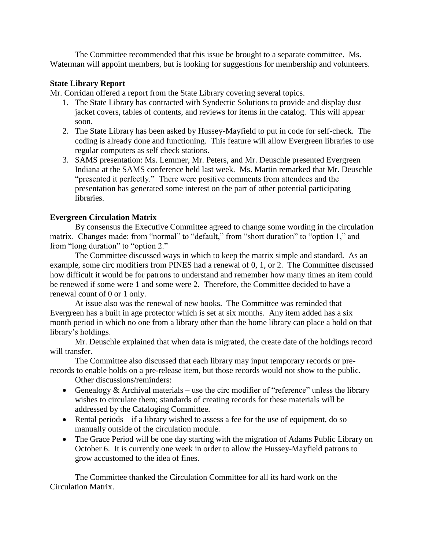The Committee recommended that this issue be brought to a separate committee. Ms. Waterman will appoint members, but is looking for suggestions for membership and volunteers.

# **State Library Report**

Mr. Corridan offered a report from the State Library covering several topics.

- 1. The State Library has contracted with Syndectic Solutions to provide and display dust jacket covers, tables of contents, and reviews for items in the catalog. This will appear soon.
- 2. The State Library has been asked by Hussey-Mayfield to put in code for self-check. The coding is already done and functioning. This feature will allow Evergreen libraries to use regular computers as self check stations.
- 3. SAMS presentation: Ms. Lemmer, Mr. Peters, and Mr. Deuschle presented Evergreen Indiana at the SAMS conference held last week. Ms. Martin remarked that Mr. Deuschle "presented it perfectly." There were positive comments from attendees and the presentation has generated some interest on the part of other potential participating libraries.

# **Evergreen Circulation Matrix**

By consensus the Executive Committee agreed to change some wording in the circulation matrix. Changes made: from "normal" to "default," from "short duration" to "option 1," and from "long duration" to "option 2."

The Committee discussed ways in which to keep the matrix simple and standard. As an example, some circ modifiers from PINES had a renewal of 0, 1, or 2. The Committee discussed how difficult it would be for patrons to understand and remember how many times an item could be renewed if some were 1 and some were 2. Therefore, the Committee decided to have a renewal count of 0 or 1 only.

At issue also was the renewal of new books. The Committee was reminded that Evergreen has a built in age protector which is set at six months. Any item added has a six month period in which no one from a library other than the home library can place a hold on that library's holdings.

Mr. Deuschle explained that when data is migrated, the create date of the holdings record will transfer.

The Committee also discussed that each library may input temporary records or prerecords to enable holds on a pre-release item, but those records would not show to the public.

Other discussions/reminders:

- Genealogy  $&$  Archival materials use the circ modifier of "reference" unless the library wishes to circulate them; standards of creating records for these materials will be addressed by the Cataloging Committee.
- Rental periods if a library wished to assess a fee for the use of equipment, do so manually outside of the circulation module.
- The Grace Period will be one day starting with the migration of Adams Public Library on October 6. It is currently one week in order to allow the Hussey-Mayfield patrons to grow accustomed to the idea of fines.

The Committee thanked the Circulation Committee for all its hard work on the Circulation Matrix.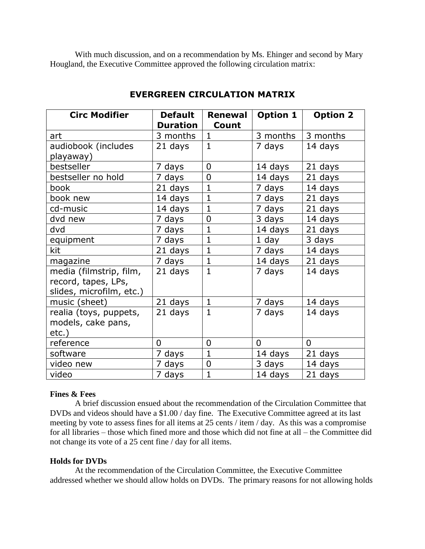With much discussion, and on a recommendation by Ms. Ehinger and second by Mary Hougland, the Executive Committee approved the following circulation matrix:

| <b>Circ Modifier</b>     | <b>Default</b>  | <b>Renewal</b> | Option 1       | <b>Option 2</b> |
|--------------------------|-----------------|----------------|----------------|-----------------|
|                          | <b>Duration</b> | Count          |                |                 |
| art                      | 3 months        | $\mathbf{1}$   | 3 months       | 3 months        |
| audiobook (includes      | 21 days         | $\mathbf{1}$   | 7 days         | 14 days         |
| playaway)                |                 |                |                |                 |
| bestseller               | 7 days          | $\overline{0}$ | 14 days        | 21 days         |
| bestseller no hold       | 7 days          | $\overline{0}$ | 14 days        | 21 days         |
| book                     | 21 days         | $\mathbf{1}$   | 7 days         | 14 days         |
| book new                 | 14 days         | $\mathbf 1$    | 7 days         | 21 days         |
| cd-music                 | 14 days         | $\mathbf{1}$   | 7 days         | 21 days         |
| dvd new                  | 7 days          | $\overline{0}$ | 3 days         | 14 days         |
| dvd                      | 7 days          | 1              | 14 days        | 21 days         |
| equipment                | 7 days          | $\overline{1}$ | 1 day          | 3 days          |
| kit                      | 21 days         | $\mathbf{1}$   | 7 days         | 14 days         |
| magazine                 | 7 days          | $\mathbf{1}$   | 14 days        | 21 days         |
| media (filmstrip, film,  | 21 days         | 1              | 7 days         | 14 days         |
| record, tapes, LPs,      |                 |                |                |                 |
| slides, microfilm, etc.) |                 |                |                |                 |
| music (sheet)            | 21 days         | 1              | 7 days         | 14 days         |
| realia (toys, puppets,   | 21 days         | 1              | 7 days         | 14 days         |
| models, cake pans,       |                 |                |                |                 |
| $etc.$ )                 |                 |                |                |                 |
| reference                | $\overline{0}$  | $\overline{0}$ | $\overline{0}$ | $\Omega$        |
| software                 | 7 days          | $\mathbf{1}$   | 14 days        | 21 days         |
| video new                | 7 days          | 0              | 3 days         | 14 days         |
| video                    | 7 days          | $\mathbf{1}$   | 14 days        | 21 days         |

# **EVERGREEN CIRCULATION MATRIX**

### **Fines & Fees**

A brief discussion ensued about the recommendation of the Circulation Committee that DVDs and videos should have a \$1.00 / day fine. The Executive Committee agreed at its last meeting by vote to assess fines for all items at 25 cents / item / day. As this was a compromise for all libraries – those which fined more and those which did not fine at all – the Committee did not change its vote of a 25 cent fine / day for all items.

### **Holds for DVDs**

At the recommendation of the Circulation Committee, the Executive Committee addressed whether we should allow holds on DVDs. The primary reasons for not allowing holds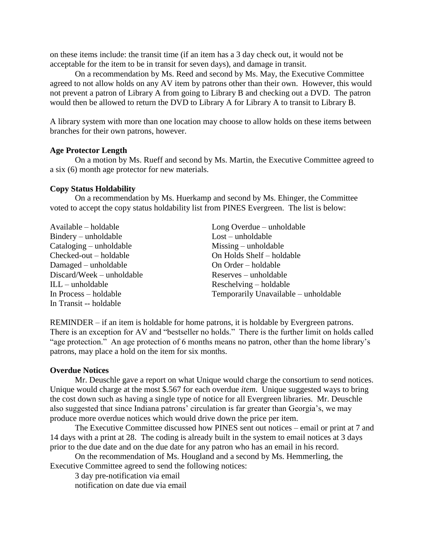on these items include: the transit time (if an item has a 3 day check out, it would not be acceptable for the item to be in transit for seven days), and damage in transit.

On a recommendation by Ms. Reed and second by Ms. May, the Executive Committee agreed to not allow holds on any AV item by patrons other than their own. However, this would not prevent a patron of Library A from going to Library B and checking out a DVD. The patron would then be allowed to return the DVD to Library A for Library A to transit to Library B.

A library system with more than one location may choose to allow holds on these items between branches for their own patrons, however.

#### **Age Protector Length**

On a motion by Ms. Rueff and second by Ms. Martin, the Executive Committee agreed to a six (6) month age protector for new materials.

#### **Copy Status Holdability**

On a recommendation by Ms. Huerkamp and second by Ms. Ehinger, the Committee voted to accept the copy status holdability list from PINES Evergreen. The list is below:

| Available – holdable      | Long Overdue – unholdable            |  |
|---------------------------|--------------------------------------|--|
| Bindery – unholdable      | $\text{Lost}$ – unholdable           |  |
| $Cataloging - unholdable$ | $Missing - unholdable$               |  |
| $Checked-out-holdable$    | On Holds Shelf – holdable            |  |
| Damaged – unholdable      | On Order – holdable                  |  |
| Discard/Week – unholdable | $Reserves$ – unholdable              |  |
| $ILL$ – unholdable        | Reschelving – holdable               |  |
| In Process – holdable     | Temporarily Unavailable – unholdable |  |
| In Transit -- holdable    |                                      |  |

REMINDER – if an item is holdable for home patrons, it is holdable by Evergreen patrons. There is an exception for AV and "bestseller no holds." There is the further limit on holds called "age protection." An age protection of 6 months means no patron, other than the home library's patrons, may place a hold on the item for six months.

#### **Overdue Notices**

Mr. Deuschle gave a report on what Unique would charge the consortium to send notices. Unique would charge at the most \$.567 for each overdue *item*. Unique suggested ways to bring the cost down such as having a single type of notice for all Evergreen libraries. Mr. Deuschle also suggested that since Indiana patrons' circulation is far greater than Georgia's, we may produce more overdue notices which would drive down the price per item.

The Executive Committee discussed how PINES sent out notices – email or print at 7 and 14 days with a print at 28. The coding is already built in the system to email notices at 3 days prior to the due date and on the due date for any patron who has an email in his record.

On the recommendation of Ms. Hougland and a second by Ms. Hemmerling, the Executive Committee agreed to send the following notices:

3 day pre-notification via email

notification on date due via email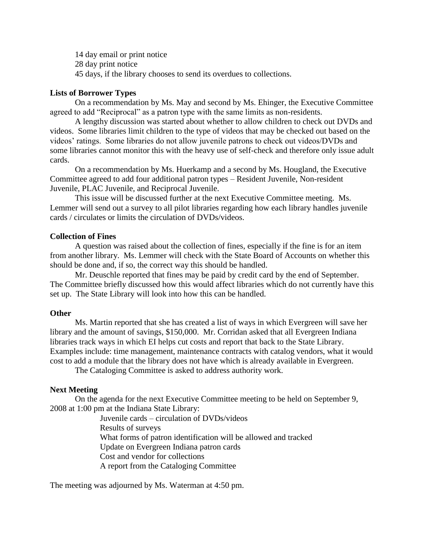14 day email or print notice 28 day print notice 45 days, if the library chooses to send its overdues to collections.

#### **Lists of Borrower Types**

On a recommendation by Ms. May and second by Ms. Ehinger, the Executive Committee agreed to add "Reciprocal" as a patron type with the same limits as non-residents.

A lengthy discussion was started about whether to allow children to check out DVDs and videos. Some libraries limit children to the type of videos that may be checked out based on the videos' ratings. Some libraries do not allow juvenile patrons to check out videos/DVDs and some libraries cannot monitor this with the heavy use of self-check and therefore only issue adult cards.

On a recommendation by Ms. Huerkamp and a second by Ms. Hougland, the Executive Committee agreed to add four additional patron types – Resident Juvenile, Non-resident Juvenile, PLAC Juvenile, and Reciprocal Juvenile.

This issue will be discussed further at the next Executive Committee meeting. Ms. Lemmer will send out a survey to all pilot libraries regarding how each library handles juvenile cards / circulates or limits the circulation of DVDs/videos.

### **Collection of Fines**

A question was raised about the collection of fines, especially if the fine is for an item from another library. Ms. Lemmer will check with the State Board of Accounts on whether this should be done and, if so, the correct way this should be handled.

Mr. Deuschle reported that fines may be paid by credit card by the end of September. The Committee briefly discussed how this would affect libraries which do not currently have this set up. The State Library will look into how this can be handled.

### **Other**

Ms. Martin reported that she has created a list of ways in which Evergreen will save her library and the amount of savings, \$150,000. Mr. Corridan asked that all Evergreen Indiana libraries track ways in which EI helps cut costs and report that back to the State Library. Examples include: time management, maintenance contracts with catalog vendors, what it would cost to add a module that the library does not have which is already available in Evergreen.

The Cataloging Committee is asked to address authority work.

### **Next Meeting**

On the agenda for the next Executive Committee meeting to be held on September 9, 2008 at 1:00 pm at the Indiana State Library:

> Juvenile cards – circulation of DVDs/videos Results of surveys What forms of patron identification will be allowed and tracked Update on Evergreen Indiana patron cards Cost and vendor for collections A report from the Cataloging Committee

The meeting was adjourned by Ms. Waterman at 4:50 pm.